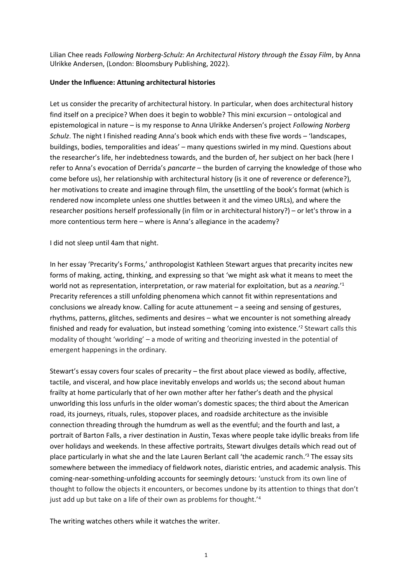Lilian Chee reads *Following Norberg-Schulz: An Architectural History through the Essay Film*, by Anna Ulrikke Andersen, (London: Bloomsbury Publishing, 2022).

## **Under the Influence: Attuning architectural histories**

Let us consider the precarity of architectural history. In particular, when does architectural history find itself on a precipice? When does it begin to wobble? This mini excursion – ontological and epistemological in nature – is my response to Anna Ulrikke Andersen's project *Following Norberg Schulz*. The night I finished reading Anna's book which ends with these five words – 'landscapes, buildings, bodies, temporalities and ideas' – many questions swirled in my mind. Questions about the researcher's life, her indebtedness towards, and the burden of, her subject on her back (here I refer to Anna's evocation of Derrida's *pancarte* – the burden of carrying the knowledge of those who come before us), her relationship with architectural history (is it one of reverence or deference?), her motivations to create and imagine through film, the unsettling of the book's format (which is rendered now incomplete unless one shuttles between it and the vimeo URLs), and where the researcher positions herself professionally (in film or in architectural history?) – or let's throw in a more contentious term here – where is Anna's allegiance in the academy?

I did not sleep until 4am that night.

In her essay 'Precarity's Forms,' anthropologist Kathleen Stewart argues that precarity incites new forms of making, acting, thinking, and expressing so that 'we might ask what it means to meet the world not as representation, interpretation, or raw material for exploitation, but as a *nearing.*' 1 Precarity references a still unfolding phenomena which cannot fit within representations and conclusions we already know. Calling for acute attunement – a seeing and sensing of gestures, rhythms, patterns, glitches, sediments and desires – what we encounter is not something already finished and ready for evaluation, but instead something 'coming into existence.' <sup>2</sup> Stewart calls this modality of thought 'worlding' – a mode of writing and theorizing invested in the potential of emergent happenings in the ordinary.

Stewart's essay covers four scales of precarity – the first about place viewed as bodily, affective, tactile, and visceral, and how place inevitably envelops and worlds us; the second about human frailty at home particularly that of her own mother after her father's death and the physical unworlding this loss unfurls in the older woman's domestic spaces; the third about the American road, its journeys, rituals, rules, stopover places, and roadside architecture as the invisible connection threading through the humdrum as well as the eventful; and the fourth and last, a portrait of Barton Falls, a river destination in Austin, Texas where people take idyllic breaks from life over holidays and weekends. In these affective portraits, Stewart divulges details which read out of place particularly in what she and the late Lauren Berlant call 'the academic ranch.' <sup>3</sup> The essay sits somewhere between the immediacy of fieldwork notes, diaristic entries, and academic analysis. This coming-near-something-unfolding accounts for seemingly detours: 'unstuck from its own line of thought to follow the objects it encounters, or becomes undone by its attention to things that don't just add up but take on a life of their own as problems for thought.<sup>'4</sup>

The writing watches others while it watches the writer.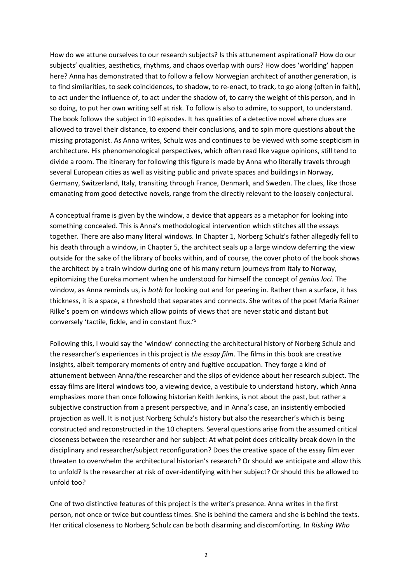How do we attune ourselves to our research subjects? Is this attunement aspirational? How do our subjects' qualities, aesthetics, rhythms, and chaos overlap with ours? How does 'worlding' happen here? Anna has demonstrated that to follow a fellow Norwegian architect of another generation, is to find similarities, to seek coincidences, to shadow, to re-enact, to track, to go along (often in faith), to act under the influence of, to act under the shadow of, to carry the weight of this person, and in so doing, to put her own writing self at risk. To follow is also to admire, to support, to understand. The book follows the subject in 10 episodes. It has qualities of a detective novel where clues are allowed to travel their distance, to expend their conclusions, and to spin more questions about the missing protagonist. As Anna writes, Schulz was and continues to be viewed with some scepticism in architecture. His phenomenological perspectives, which often read like vague opinions, still tend to divide a room. The itinerary for following this figure is made by Anna who literally travels through several European cities as well as visiting public and private spaces and buildings in Norway, Germany, Switzerland, Italy, transiting through France, Denmark, and Sweden. The clues, like those emanating from good detective novels, range from the directly relevant to the loosely conjectural.

A conceptual frame is given by the window, a device that appears as a metaphor for looking into something concealed. This is Anna's methodological intervention which stitches all the essays together. There are also many literal windows. In Chapter 1, Norberg Schulz's father allegedly fell to his death through a window, in Chapter 5, the architect seals up a large window deferring the view outside for the sake of the library of books within, and of course, the cover photo of the book shows the architect by a train window during one of his many return journeys from Italy to Norway, epitomizing the Eureka moment when he understood for himself the concept of *genius loci*. The window, as Anna reminds us, is *both* for looking out and for peering in. Rather than a surface, it has thickness, it is a space, a threshold that separates and connects. She writes of the poet Maria Rainer Rilke's poem on windows which allow points of views that are never static and distant but conversely 'tactile, fickle, and in constant flux.'<sup>5</sup>

Following this, I would say the 'window' connecting the architectural history of Norberg Schulz and the researcher's experiences in this project is *the essay film*. The films in this book are creative insights, albeit temporary moments of entry and fugitive occupation. They forge a kind of attunement between Anna/the researcher and the slips of evidence about her research subject. The essay films are literal windows too, a viewing device, a vestibule to understand history, which Anna emphasizes more than once following historian Keith Jenkins, is not about the past, but rather a subjective construction from a present perspective, and in Anna's case, an insistently embodied projection as well. It is not just Norberg Schulz's history but also the researcher's which is being constructed and reconstructed in the 10 chapters. Several questions arise from the assumed critical closeness between the researcher and her subject: At what point does criticality break down in the disciplinary and researcher/subject reconfiguration? Does the creative space of the essay film ever threaten to overwhelm the architectural historian's research? Or should we anticipate and allow this to unfold? Is the researcher at risk of over-identifying with her subject? Or should this be allowed to unfold too?

One of two distinctive features of this project is the writer's presence. Anna writes in the first person, not once or twice but countless times. She is behind the camera and she is behind the texts. Her critical closeness to Norberg Schulz can be both disarming and discomforting. In *Risking Who*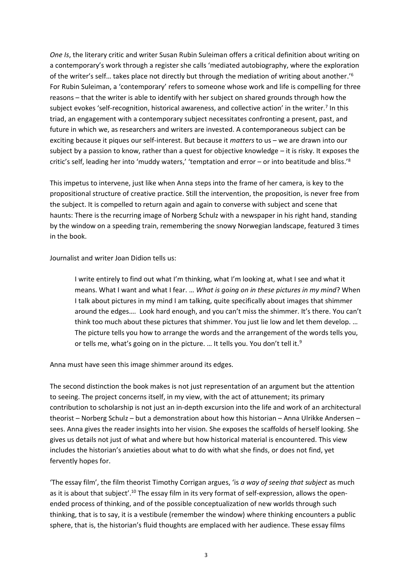*One Is*, the literary critic and writer Susan Rubin Suleiman offers a critical definition about writing on a contemporary's work through a register she calls 'mediated autobiography, where the exploration of the writer's self… takes place not directly but through the mediation of writing about another.' 6 For Rubin Suleiman, a 'contemporary' refers to someone whose work and life is compelling for three reasons – that the writer is able to identify with her subject on shared grounds through how the subject evokes 'self-recognition, historical awareness, and collective action' in the writer.<sup>7</sup> In this triad, an engagement with a contemporary subject necessitates confronting a present, past, and future in which we, as researchers and writers are invested. A contemporaneous subject can be exciting because it piques our self-interest. But because it *matters* to us – we are drawn into our subject by a passion to know, rather than a quest for objective knowledge – it is risky. It exposes the critic's self, leading her into 'muddy waters,' 'temptation and error – or into beatitude and bliss.'<sup>8</sup>

This impetus to intervene, just like when Anna steps into the frame of her camera, is key to the propositional structure of creative practice. Still the intervention, the proposition, is never free from the subject. It is compelled to return again and again to converse with subject and scene that haunts: There is the recurring image of Norberg Schulz with a newspaper in his right hand, standing by the window on a speeding train, remembering the snowy Norwegian landscape, featured 3 times in the book.

Journalist and writer Joan Didion tells us:

I write entirely to find out what I'm thinking, what I'm looking at, what I see and what it means. What I want and what I fear. … *What is going on in these pictures in my mind*? When I talk about pictures in my mind I am talking, quite specifically about images that shimmer around the edges…. Look hard enough, and you can't miss the shimmer. It's there. You can't think too much about these pictures that shimmer. You just lie low and let them develop. … The picture tells you how to arrange the words and the arrangement of the words tells you, or tells me, what's going on in the picture. ... It tells you. You don't tell it.<sup>9</sup>

Anna must have seen this image shimmer around its edges.

The second distinction the book makes is not just representation of an argument but the attention to seeing. The project concerns itself, in my view, with the act of attunement; its primary contribution to scholarship is not just an in-depth excursion into the life and work of an architectural theorist – Norberg Schulz – but a demonstration about how this historian – Anna Ulrikke Andersen – sees. Anna gives the reader insights into her vision. She exposes the scaffolds of herself looking. She gives us details not just of what and where but how historical material is encountered. This view includes the historian's anxieties about what to do with what she finds, or does not find, yet fervently hopes for.

'The essay film', the film theorist Timothy Corrigan argues, 'is *a way of seeing that subject* as much as it is about that subject'.<sup>10</sup> The essay film in its very format of self-expression, allows the openended process of thinking, and of the possible conceptualization of new worlds through such thinking, that is to say, it is a vestibule (remember the window) where thinking encounters a public sphere, that is, the historian's fluid thoughts are emplaced with her audience. These essay films